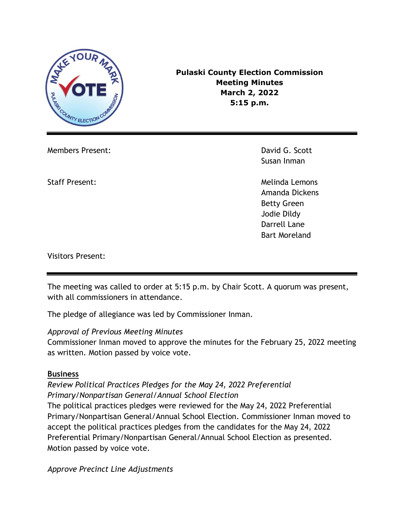

**Pulaski County Election Commission Meeting Minutes March 2, 2022 5:15 p.m.**

Members Present: David G. Scott

Susan Inman

Staff Present: Network and Staff Present: Melinda Lemons Amanda Dickens Betty Green Jodie Dildy Darrell Lane Bart Moreland

Visitors Present:

The meeting was called to order at 5:15 p.m. by Chair Scott. A quorum was present, with all commissioners in attendance.

The pledge of allegiance was led by Commissioner Inman.

### *Approval of Previous Meeting Minutes*

Commissioner Inman moved to approve the minutes for the February 25, 2022 meeting as written. Motion passed by voice vote.

### **Business**

*Review Political Practices Pledges for the May 24, 2022 Preferential Primary/Nonpartisan General/Annual School Election*

The political practices pledges were reviewed for the May 24, 2022 Preferential Primary/Nonpartisan General/Annual School Election. Commissioner Inman moved to accept the political practices pledges from the candidates for the May 24, 2022 Preferential Primary/Nonpartisan General/Annual School Election as presented. Motion passed by voice vote.

*Approve Precinct Line Adjustments*